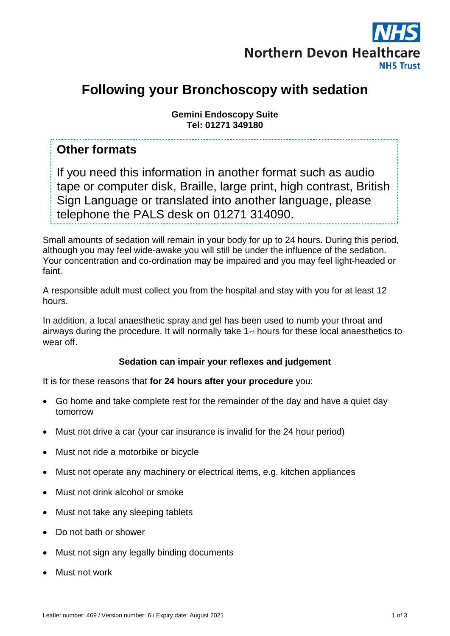

# **Following your Bronchoscopy with sedation**

**Gemini Endoscopy Suite Tel: 01271 349180**

#### **Other formats**

If you need this information in another format such as audio tape or computer disk, Braille, large print, high contrast, British Sign Language or translated into another language, please telephone the PALS desk on 01271 314090.

Small amounts of sedation will remain in your body for up to 24 hours. During this period, although you may feel wide-awake you will still be under the influence of the sedation. Your concentration and co-ordination may be impaired and you may feel light-headed or faint.

A responsible adult must collect you from the hospital and stay with you for at least 12 hours.

In addition, a local anaesthetic spray and gel has been used to numb your throat and airways during the procedure. It will normally take 1½ hours for these local anaesthetics to wear off.

#### **Sedation can impair your reflexes and judgement**

It is for these reasons that **for 24 hours after your procedure** you:

- Go home and take complete rest for the remainder of the day and have a quiet day tomorrow
- Must not drive a car (your car insurance is invalid for the 24 hour period)
- Must not ride a motorbike or bicycle
- Must not operate any machinery or electrical items, e.g. kitchen appliances
- Must not drink alcohol or smoke
- Must not take any sleeping tablets
- Do not bath or shower
- Must not sign any legally binding documents
- Must not work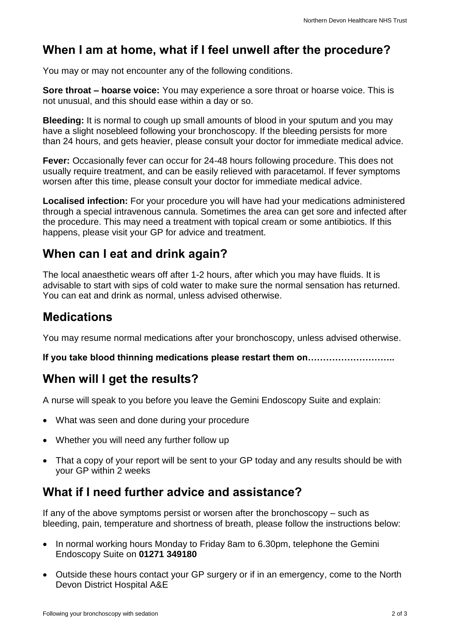## **When I am at home, what if I feel unwell after the procedure?**

You may or may not encounter any of the following conditions.

**Sore throat – hoarse voice:** You may experience a sore throat or hoarse voice. This is not unusual, and this should ease within a day or so.

**Bleeding:** It is normal to cough up small amounts of blood in your sputum and you may have a slight nosebleed following your bronchoscopy. If the bleeding persists for more than 24 hours, and gets heavier, please consult your doctor for immediate medical advice.

**Fever:** Occasionally fever can occur for 24-48 hours following procedure. This does not usually require treatment, and can be easily relieved with paracetamol. If fever symptoms worsen after this time, please consult your doctor for immediate medical advice.

**Localised infection:** For your procedure you will have had your medications administered through a special intravenous cannula. Sometimes the area can get sore and infected after the procedure. This may need a treatment with topical cream or some antibiotics. If this happens, please visit your GP for advice and treatment.

#### **When can I eat and drink again?**

The local anaesthetic wears off after 1-2 hours, after which you may have fluids. It is advisable to start with sips of cold water to make sure the normal sensation has returned. You can eat and drink as normal, unless advised otherwise.

### **Medications**

You may resume normal medications after your bronchoscopy, unless advised otherwise.

**If you take blood thinning medications please restart them on………………………..**

### **When will I get the results?**

A nurse will speak to you before you leave the Gemini Endoscopy Suite and explain:

- What was seen and done during your procedure
- Whether you will need any further follow up
- That a copy of your report will be sent to your GP today and any results should be with your GP within 2 weeks

### **What if I need further advice and assistance?**

If any of the above symptoms persist or worsen after the bronchoscopy – such as bleeding, pain, temperature and shortness of breath, please follow the instructions below:

- In normal working hours Monday to Friday 8am to 6.30pm, telephone the Gemini Endoscopy Suite on **01271 349180**
- Outside these hours contact your GP surgery or if in an emergency, come to the North Devon District Hospital A&E